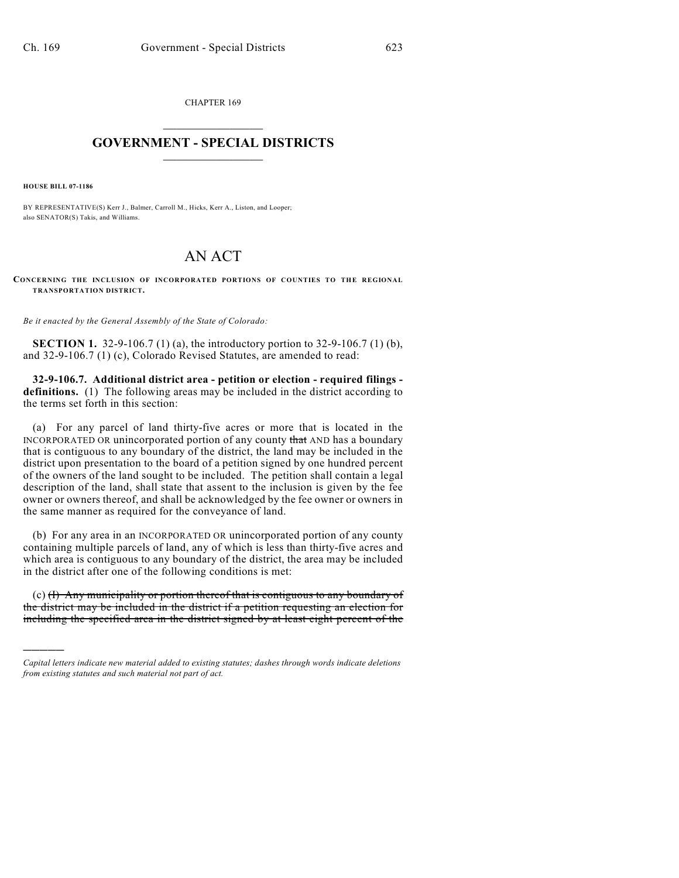CHAPTER 169  $\mathcal{L}_\text{max}$  . The set of the set of the set of the set of the set of the set of the set of the set of the set of the set of the set of the set of the set of the set of the set of the set of the set of the set of the set

## **GOVERNMENT - SPECIAL DISTRICTS**  $\_$

**HOUSE BILL 07-1186**

)))))

BY REPRESENTATIVE(S) Kerr J., Balmer, Carroll M., Hicks, Kerr A., Liston, and Looper; also SENATOR(S) Takis, and Williams.

## AN ACT

**CONCERNING THE INCLUSION OF INCORPORATED PORTIONS OF COUNTIES TO THE REGIONAL TRANSPORTATION DISTRICT.**

*Be it enacted by the General Assembly of the State of Colorado:*

**SECTION 1.** 32-9-106.7 (1) (a), the introductory portion to 32-9-106.7 (1) (b), and 32-9-106.7 (1) (c), Colorado Revised Statutes, are amended to read:

**32-9-106.7. Additional district area - petition or election - required filings definitions.** (1) The following areas may be included in the district according to the terms set forth in this section:

(a) For any parcel of land thirty-five acres or more that is located in the INCORPORATED OR unincorporated portion of any county that AND has a boundary that is contiguous to any boundary of the district, the land may be included in the district upon presentation to the board of a petition signed by one hundred percent of the owners of the land sought to be included. The petition shall contain a legal description of the land, shall state that assent to the inclusion is given by the fee owner or owners thereof, and shall be acknowledged by the fee owner or owners in the same manner as required for the conveyance of land.

(b) For any area in an INCORPORATED OR unincorporated portion of any county containing multiple parcels of land, any of which is less than thirty-five acres and which area is contiguous to any boundary of the district, the area may be included in the district after one of the following conditions is met:

(c) (I) Any municipality or portion thereof that is contiguous to any boundary of the district may be included in the district if a petition requesting an election for including the specified area in the district signed by at least eight percent of the

*Capital letters indicate new material added to existing statutes; dashes through words indicate deletions from existing statutes and such material not part of act.*